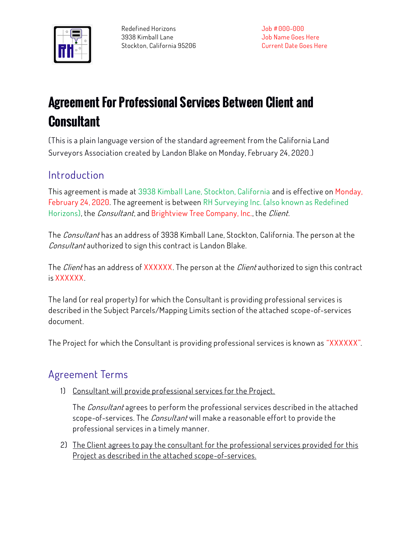

**Redefined Horizons 3938 Kimball Lane Stockton, California 95206** **Job #000-000 Job Name Goes Here Current Date Goes Here**

## Agreement For Professional Services Between Client and **Consultant**

**(This is a plain language version of the standard agreement from the California Land Surveyors Association created by Landon Blake on Monday, February 24, 2020.)**

## **Introduction**

**This agreement is made at 3938 Kimball Lane, Stockton, California and is effective on Monday, February 24, 2020. The agreement is between RH Surveying Inc. (also known as Redefined Horizons), the Consultant, and Brightview Tree Company, Inc., the Client.**

**The Consultant has an address of 3938 Kimball Lane, Stockton, California. The person at the Consultant authorized to sign this contract is Landon Blake.** 

**The Client has an address of XXXXXX. The person at the Client authorized to sign this contract is XXXXXX.**

**The land (or real property) for which the Consultant is providing professional services is described in the Subject Parcels/Mapping Limits section of the attached scope-of-services document.**

The Project for which the Consultant is providing professional services is known as "XXXXXX".

## **Agreement Terms**

**1) Consultant will provide professional services for the Project.**

**The Consultant agrees to perform the professional services described in the attached scope-of-services. The Consultant will make a reasonable effort to provide the professional services in a timely manner.**

**2) The Client agrees to pay the consultant for the professional services provided for this Project as described in the attached scope-of-services.**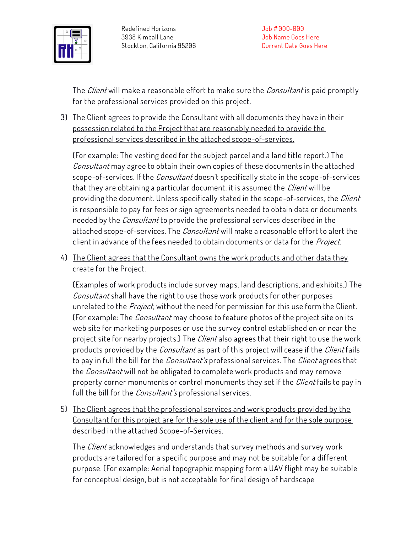

**Job #000-000 Job Name Goes Here Current Date Goes Here**

**The Client will make a reasonable effort to make sure the Consultant is paid promptly for the professional services provided on this project.**

**3) The Client agrees to provide the Consultant with all documents they have in their possession related to the Project that are reasonably needed to provide the professional services described in the attached scope-of-services.**

**(For example: The vesting deed for the subject parcel and a land title report.) The Consultant may agree to obtain their own copies of these documents in the attached scope-of-services. If the Consultant doesn't specifically state in the scope-of-services that they are obtaining a particular document, it is assumed the Client will be providing the document. Unless specifically stated in the scope-of-services, the Client is responsible to pay for fees or sign agreements needed to obtain data or documents needed by the Consultant to provide the professional services described in the attached scope-of-services. The Consultant will make a reasonable effort to alert the client in advance of the fees needed to obtain documents or data for the Project.**

**4) The Client agrees that the Consultant owns the work products and other data they create for the Project.**

**(Examples of work products include survey maps, land descriptions, and exhibits.) The Consultant shall have the right to use those work products for other purposes unrelated to the Project, without the need for permission for this use form the Client. (For example: The Consultant may choose to feature photos of the project site on its web site for marketing purposes or use the survey control established on or near the project site for nearby projects.) The Client also agrees that their right to use the work products provided by the Consultant as part of this project will cease if the Client fails to pay in full the bill for the Consultant's professional services. The Client agrees that the Consultant will not be obligated to complete work products and may remove property corner monuments or control monuments they set if the Client fails to pay in full the bill for the Consultant's professional services.**

**5) The Client agrees that the professional services and work products provided by the Consultant for this project are for the sole use of the client and for the sole purpose described in the attached Scope-of-Services.**

**The Client acknowledges and understands that survey methods and survey work products are tailored for a specific purpose and may not be suitable for a different purpose. (For example: Aerial topographic mapping form a UAV flight may be suitable for conceptual design, but is not acceptable for final design of hardscape**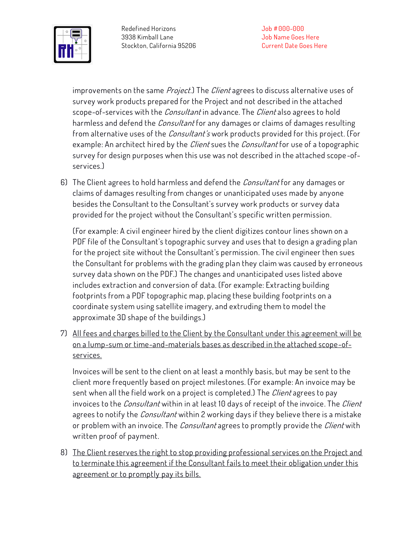

**Redefined Horizons 3938 Kimball Lane Stockton, California 95206** **Job #000-000 Job Name Goes Here Current Date Goes Here**

**improvements on the same Project.) The Client agrees to discuss alternative uses of survey work products prepared for the Project and not described in the attached scope-of-services with the Consultant in advance. The Client also agrees to hold harmless and defend the Consultant for any damages or claims of damages resulting from alternative uses of the Consultant's work products provided for this project. (For example: An architect hired by the Client sues the Consultant for use of a topographic survey for design purposes when this use was not described in the attached scope -ofservices.)**

**6) The Client agrees to hold harmless and defend the Consultant for any damages or claims of damages resulting from changes or unanticipated uses made by anyone besides the Consultant to the Consultant's survey work products or survey data provided for the project without the Consultant's specific written permission.**

**(For example: A civil engineer hired by the client digitizes contour lines shown on a PDF file of the Consultant's topographic survey and uses that to design a grading plan for the project site without the Consultant's permission. The civil engineer then sues the Consultant for problems with the grading plan they claim was caused by erroneous survey data shown on the PDF.) The changes and unanticipated uses listed above includes extraction and conversion of data. (For example: Extracting building footprints from a PDF topographic map, placing these building footprints on a coordinate system using satellite imagery, and extruding them to model the approximate 3D shape of the buildings.)**

**7) All fees and charges billed to the Client by the Consultant under this agreement will be on a lump-sum or time-and-materials bases as described in the attached scope-ofservices.** 

**Invoices will be sent to the client on at least a monthly basis, but may be sent to the client more frequently based on project milestones. (For example: An invoice may be sent when all the field work on a project is completed.) The Client agrees to pay invoices to the Consultant within in at least 10 days of receipt of the invoice. The Client agrees to notify the Consultant within 2 working days if they believe there is a mistake or problem with an invoice. The Consultant agrees to promptly provide the Client with written proof of payment.**

**8) The Client reserves the right to stop providing professional services on the Project and to terminate this agreement if the Consultant fails to meet their obligation under this agreement or to promptly pay its bills.**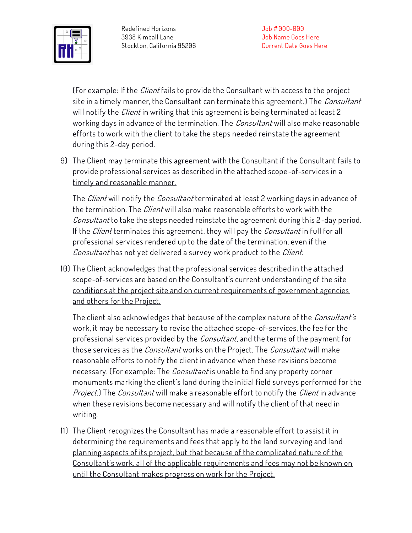

**(For example: If the Client fails to provide the Consultant with access to the project site in a timely manner, the Consultant can terminate this agreement.) The Consultant will notify the Client in writing that this agreement is being terminated at least 2 working days in advance of the termination. The Consultant will also make reasonable efforts to work with the client to take the steps needed reinstate the agreement during this 2-day period.**

**9) The Client may terminate this agreement with the Consultant if the Consultant fails to provide professional services as described in the attached scope-of-services in a timely and reasonable manner.**

**The Client will notify the Consultant terminated at least 2 working days in advance of the termination. The Client will also make reasonable efforts to work with the Consultant to take the steps needed reinstate the agreement during this 2-day period. If the Client terminates this agreement, they will pay the Consultant in full for all professional services rendered up to the date of the termination, even if the Consultant has not yet delivered a survey work product to the Client.**

**10) The Client acknowledges that the professional services described in the attached scope-of-services are based on the Consultant's current understanding of the site conditions at the project site and on current requirements of government agencies and others for the Project.** 

**The client also acknowledges that because of the complex nature of the Consultant's work, it may be necessary to revise the attached scope-of-services, the fee for the professional services provided by the Consultant, and the terms of the payment for those services as the Consultant works on the Project. The Consultant will make reasonable efforts to notify the client in advance when these revisions become necessary. (For example: The Consultant is unable to find any property corner monuments marking the client's land during the initial field surveys performed for the Project.) The Consultant will make a reasonable effort to notify the Client in advance when these revisions become necessary and will notify the client of that need in writing.**

**11) The Client recognizes the Consultant has made a reasonable effort to assist it in determining the requirements and fees that apply to the land surveying and land planning aspects of its project, but that because of the complicated nature of the Consultant's work, all of the applicable requirements and fees may not be known on until the Consultant makes progress on work for the Project.**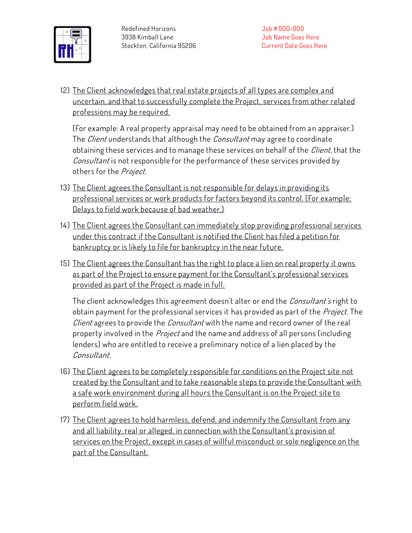

**12) The Client acknowledges that real estate projects of all types are complex and uncertain, and that to successfully complete the Project, services from other related professions may be required.**

**(For example: A real property appraisal may need to be obtained from an appraiser.) The Client understands that although the Consultant may agree to coordinate obtaining these services and to manage these services on behalf of the Client, that the Consultant is not responsible for the performance of these services provided by others for the Project.**

- **13) The Client agrees the Consultant is not responsible for delays in providing its professional services or work products for factors beyond its control. (For example: Delays to field work because of bad weather.)**
- **14) The Client agrees the Consultant can immediately stop providing professional services under this contract if the Consultant is notified the Client has filed a petition for bankruptcy or is likely to file for bankruptcy in the near future.**
- **15) The Client agrees the Consultant has the right to place a lien on real property it owns as part of the Project to ensure payment for the Consultant's professional services provided as part of the Project is made in full.**

**The client acknowledges this agreement doesn't alter or end the Consultant's right to obtain payment for the professional services it has provided as part of the Project. The Client agrees to provide the Consultant with the name and record owner of the real property involved in the Project and the name and address of all persons (including lenders) who are entitled to receive a preliminary notice of a lien placed by the Consultant.**

- **16) The Client agrees to be completely responsible for conditions on the Project site not created by the Consultant and to take reasonable steps to provide the Consultant with a safe work environment during all hours the Consultant is on the Project site to perform field work.**
- **17) The Client agrees to hold harmless, defend, and indemnify the Consultant from any and all liability, real or alleged, in connection with the Consultant's provision of services on the Project, except in cases of willful misconduct or sole negligence on the part of the Consultant.**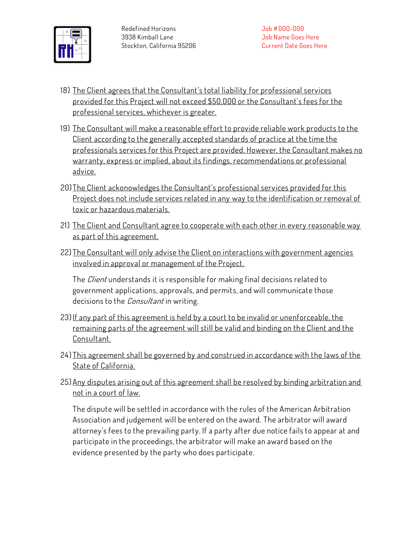

- **18) The Client agrees that the Consultant's total liability for professional services provided for this Project will not exceed \$50,000 or the Consultant's fees for the professional services, whichever is greater.**
- **19) The Consultant will make a reasonable effort to provide reliable work products to the Client according to the generally accepted standards of practice at the time the professionals services for this Project are provided. However, the Consultant makes no warranty, express or implied, about its findings, recommendations or professional advice.**
- **20)The Client ackonowledges the Consultant's professional services provided for this Project does not include services related in any way to the identification or removal of toxic or hazardous materials.**
- **21) The Client and Consultant agree to cooperate with each other in every reasonable way as part of this agreement.**
- **22) The Consultant will only advise the Client on interactions with government agencies involved in approval or management of the Project.**

**The Client understands it is responsible for making final decisions related to government applications, approvals, and permits, and will communicate those decisions to the Consultant in writing.**

- **23)If any part of this agreement is held by a court to be invalid or unenforceable, the remaining parts of the agreement will still be valid and binding on the Client and the Consultant.**
- **24) This agreement shall be governed by and construed in accordance with the laws of the State of California.**
- **25) Any disputes arising out of this agreement shall be resolved by binding arbitration and not in a court of law.**

**The dispute will be settled in accordance with the rules of the American Arbitration Association and judgement will be entered on the award. The arbitrator will award attorney's fees to the prevailing party. If a party after due notice fails to appear at and participate in the proceedings, the arbitrator will make an award based on the evidence presented by the party who does participate.**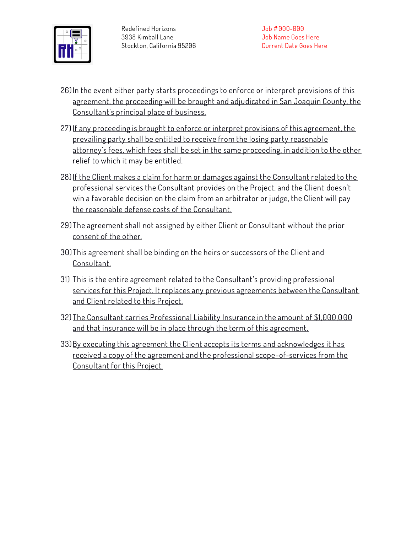

- **26)In the event either party starts proceedings to enforce or interpret provisions of this agreement, the proceeding will be brought and adjudicated in San Joaquin County, the Consultant's principal place of business.**
- **27) If any proceeding is brought to enforce or interpret provisions of this agreement, the prevailing party shall be entitled to receive from the losing party reasonable attorney's fees, which fees shall be set in the same proceeding, in addition to the other relief to which it may be entitled.**
- **28)If the Client makes a claim for harm or damages against the Consultant related to the professional services the Consultant provides on the Project, and the Client doesn't win a favorable decision on the claim from an arbitrator or judge, the Client will pay the reasonable defense costs of the Consultant.**
- **29) The agreement shall not assigned by either Client or Consultant without the prior consent of the other.**
- **30)This agreement shall be binding on the heirs or successors of the Client and Consultant.**
- **31) This is the entire agreement related to the Consultant's providing professional services for this Project. It replaces any previous agreements between the Consultant and Client related to this Project.**
- **32) The Consultant carries Professional Liability Insurance in the amount of \$1,000,000 and that insurance will be in place through the term of this agreement.**
- **33)By executing this agreement the Client accepts its terms and acknowledges it has received a copy of the agreement and the professional scope-of-services from the Consultant for this Project.**